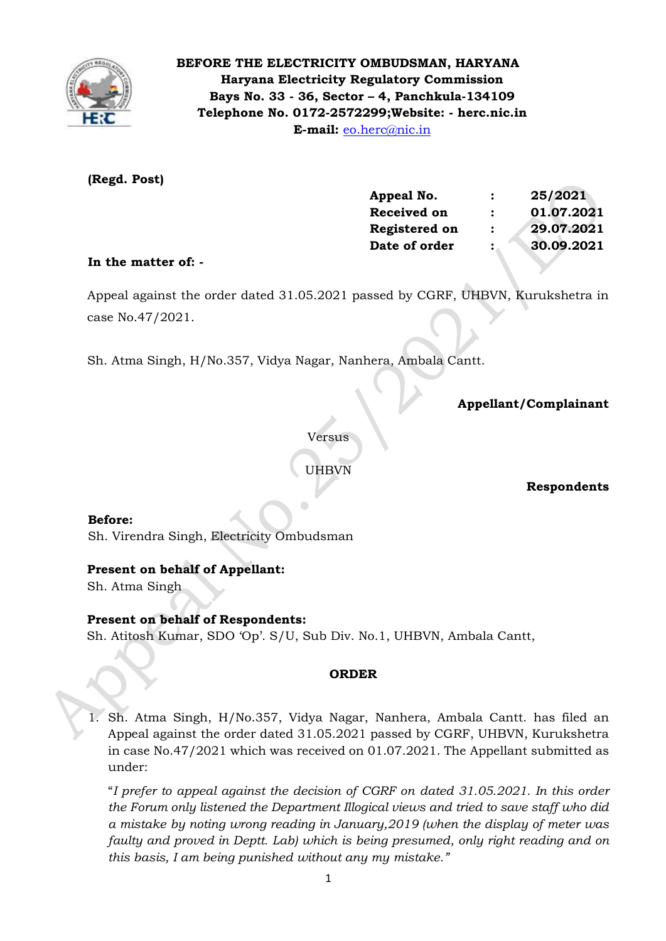

# **BEFORE THE ELECTRICITY OMBUDSMAN, HARYANA Haryana Electricity Regulatory Commission Bays No. 33 - 36, Sector – 4, Panchkula-134109 Telephone No. 0172-2572299;Website: - herc.nic.in E-mail:** [eo.herc@nic.in](mailto:eo.herc@nic.in)

# **(Regd. Post)**

| Appeal No.           | :                    | 25/2021    |
|----------------------|----------------------|------------|
| <b>Received on</b>   | $\ddot{\phantom{a}}$ | 01.07.2021 |
| <b>Registered on</b> | :                    | 29.07.2021 |
| Date of order        | :                    | 30.09.2021 |
|                      |                      |            |

# **In the matter of: -**

 Appeal against the order dated 31.05.2021 passed by CGRF, UHBVN, Kurukshetra in case No.47/2021.

Sh. Atma Singh, H/No.357, Vidya Nagar, Nanhera, Ambala Cantt.

 **Appellant/Complainant** 

Versus

UHBVN

**Respondents**

#### **Before:**

Sh. Virendra Singh, Electricity Ombudsman

# **Present on behalf of Appellant:**

Sh. Atma Singh

# **Present on behalf of Respondents:**

Sh. Atitosh Kumar, SDO 'Op'. S/U, Sub Div. No.1, UHBVN, Ambala Cantt,

#### **ORDER**

1. Sh. Atma Singh, H/No.357, Vidya Nagar, Nanhera, Ambala Cantt. has filed an Appeal against the order dated 31.05.2021 passed by CGRF, UHBVN, Kurukshetra in case No.47/2021 which was received on 01.07.2021. The Appellant submitted as under:

"*I prefer to appeal against the decision of CGRF on dated 31.05.2021. In this order the Forum only listened the Department Illogical views and tried to save staff who did a mistake by noting wrong reading in January,2019 (when the display of meter was faulty and proved in Deptt. Lab) which is being presumed, only right reading and on this basis, I am being punished without any my mistake."*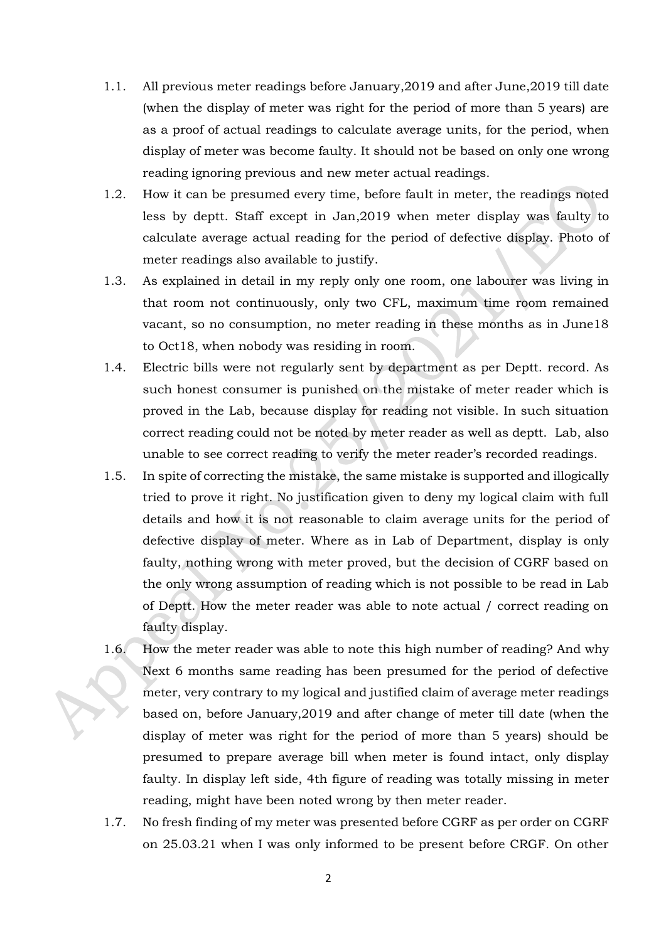- 1.1. All previous meter readings before January,2019 and after June,2019 till date (when the display of meter was right for the period of more than 5 years) are as a proof of actual readings to calculate average units, for the period, when display of meter was become faulty. It should not be based on only one wrong reading ignoring previous and new meter actual readings.
- 1.2. How it can be presumed every time, before fault in meter, the readings noted less by deptt. Staff except in Jan,2019 when meter display was faulty to calculate average actual reading for the period of defective display. Photo of meter readings also available to justify.
- 1.3. As explained in detail in my reply only one room, one labourer was living in that room not continuously, only two CFL, maximum time room remained vacant, so no consumption, no meter reading in these months as in June18 to Oct18, when nobody was residing in room.
- 1.4. Electric bills were not regularly sent by department as per Deptt. record. As such honest consumer is punished on the mistake of meter reader which is proved in the Lab, because display for reading not visible. In such situation correct reading could not be noted by meter reader as well as deptt. Lab, also unable to see correct reading to verify the meter reader's recorded readings.
- 1.5. In spite of correcting the mistake, the same mistake is supported and illogically tried to prove it right. No justification given to deny my logical claim with full details and how it is not reasonable to claim average units for the period of defective display of meter. Where as in Lab of Department, display is only faulty, nothing wrong with meter proved, but the decision of CGRF based on the only wrong assumption of reading which is not possible to be read in Lab of Deptt. How the meter reader was able to note actual / correct reading on faulty display.
- 1.6. How the meter reader was able to note this high number of reading? And why Next 6 months same reading has been presumed for the period of defective meter, very contrary to my logical and justified claim of average meter readings based on, before January,2019 and after change of meter till date (when the display of meter was right for the period of more than 5 years) should be presumed to prepare average bill when meter is found intact, only display faulty. In display left side, 4th figure of reading was totally missing in meter reading, might have been noted wrong by then meter reader.
- 1.7. No fresh finding of my meter was presented before CGRF as per order on CGRF on 25.03.21 when I was only informed to be present before CRGF. On other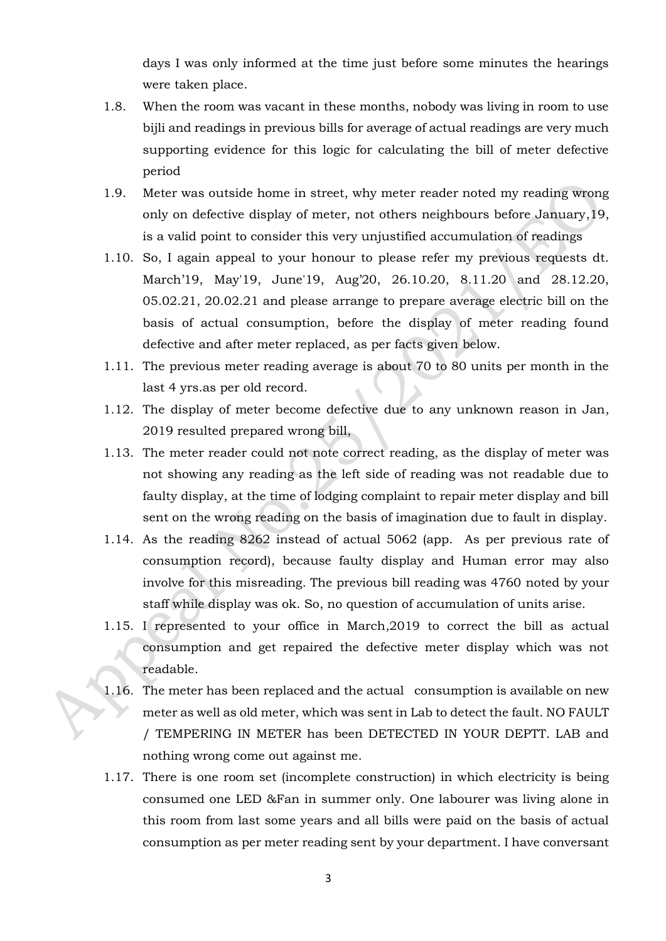days I was only informed at the time just before some minutes the hearings were taken place.

- 1.8. When the room was vacant in these months, nobody was living in room to use bijli and readings in previous bills for average of actual readings are very much supporting evidence for this logic for calculating the bill of meter defective period
- 1.9. Meter was outside home in street, why meter reader noted my reading wrong only on defective display of meter, not others neighbours before January,19, is a valid point to consider this very unjustified accumulation of readings
- 1.10. So, I again appeal to your honour to please refer my previous requests dt. March'19, May'19, June'19, Aug'20, 26.10.20, 8.11.20 and 28.12.20, 05.02.21, 20.02.21 and please arrange to prepare average electric bill on the basis of actual consumption, before the display of meter reading found defective and after meter replaced, as per facts given below.
- 1.11. The previous meter reading average is about 70 to 80 units per month in the last 4 yrs.as per old record.
- 1.12. The display of meter become defective due to any unknown reason in Jan, 2019 resulted prepared wrong bill,
- 1.13. The meter reader could not note correct reading, as the display of meter was not showing any reading as the left side of reading was not readable due to faulty display, at the time of lodging complaint to repair meter display and bill sent on the wrong reading on the basis of imagination due to fault in display.
- 1.14. As the reading 8262 instead of actual 5062 (app. As per previous rate of consumption record), because faulty display and Human error may also involve for this misreading. The previous bill reading was 4760 noted by your staff while display was ok. So, no question of accumulation of units arise.
- 1.15. I represented to your office in March,2019 to correct the bill as actual consumption and get repaired the defective meter display which was not readable.
- 1.16. The meter has been replaced and the actual consumption is available on new meter as well as old meter, which was sent in Lab to detect the fault. NO FAULT / TEMPERING IN METER has been DETECTED IN YOUR DEPTT. LAB and nothing wrong come out against me.
- 1.17. There is one room set (incomplete construction) in which electricity is being consumed one LED &Fan in summer only. One labourer was living alone in this room from last some years and all bills were paid on the basis of actual consumption as per meter reading sent by your department. I have conversant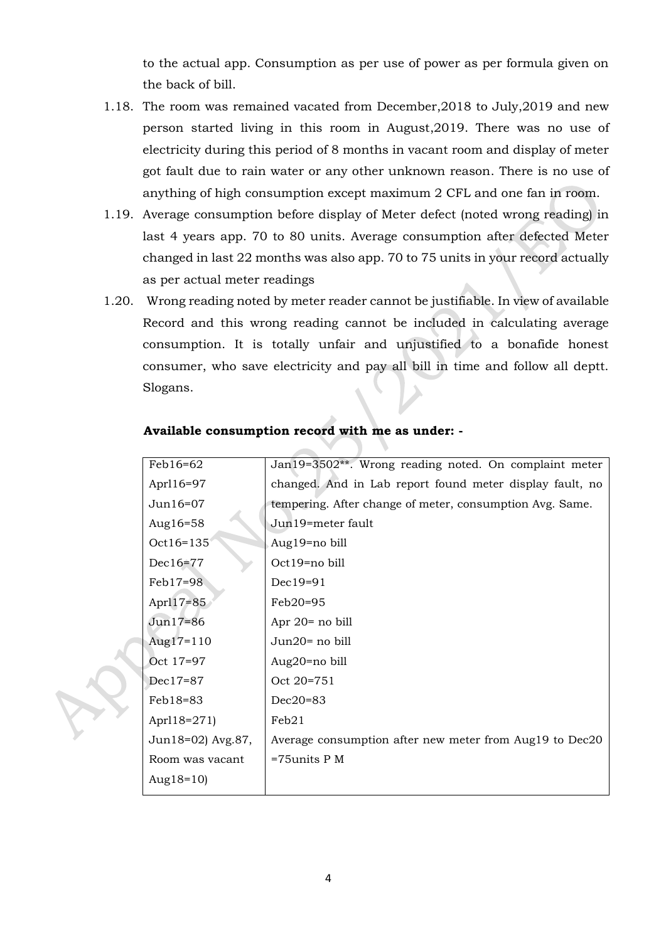to the actual app. Consumption as per use of power as per formula given on the back of bill.

- 1.18. The room was remained vacated from December,2018 to July,2019 and new person started living in this room in August,2019. There was no use of electricity during this period of 8 months in vacant room and display of meter got fault due to rain water or any other unknown reason. There is no use of anything of high consumption except maximum 2 CFL and one fan in room.
- 1.19. Average consumption before display of Meter defect (noted wrong reading) in last 4 years app. 70 to 80 units. Average consumption after defected Meter changed in last 22 months was also app. 70 to 75 units in your record actually as per actual meter readings
- 1.20. Wrong reading noted by meter reader cannot be justifiable. In view of available Record and this wrong reading cannot be included in calculating average consumption. It is totally unfair and unjustified to a bonafide honest consumer, who save electricity and pay all bill in time and follow all deptt. Slogans.

| $Feb16=62$        | Jan19=3502**. Wrong reading noted. On complaint meter    |
|-------------------|----------------------------------------------------------|
| Aprl16=97         | changed. And in Lab report found meter display fault, no |
| Jun16=07          | tempering. After change of meter, consumption Avg. Same. |
| Aug16=58          | Jun19=meter fault                                        |
| Oct16=135         | Aug19=no bill                                            |
| $Dec16=77$        | Oct19=no bill                                            |
| Feb17=98          | Dec19=91                                                 |
| Apr117=85         | Feb20=95                                                 |
| Jun17=86          | Apr 20= no bill                                          |
| Aug $17=110$      | Jun20= no bill                                           |
| Oct 17=97         | Aug20=no bill                                            |
| Dec17=87          | Oct 20=751                                               |
| Feb18=83          | $Dec20=83$                                               |
| Aprl18=271)       | Feb21                                                    |
| Jun18=02) Avg.87, | Average consumption after new meter from Aug19 to Dec20  |
| Room was vacant   | $=75$ units P M                                          |
| Aug $18=10$ )     |                                                          |
|                   |                                                          |

#### **Available consumption record with me as under: -**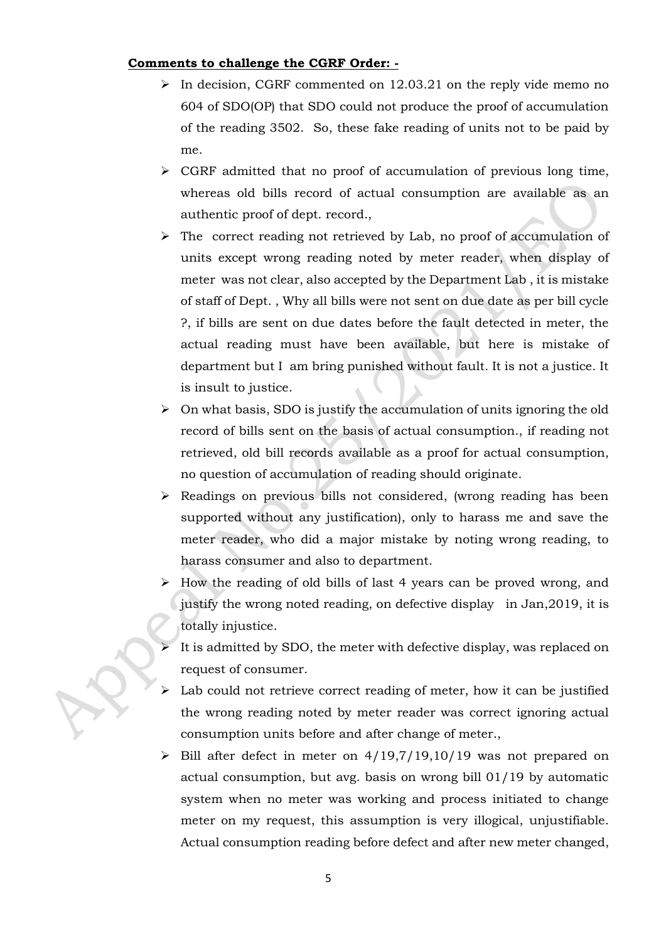### **Comments to challenge the CGRF Order: -**

- $\triangleright$  In decision, CGRF commented on 12.03.21 on the reply vide memo no 604 of SDO(OP) that SDO could not produce the proof of accumulation of the reading 3502. So, these fake reading of units not to be paid by me.
- $\triangleright$  CGRF admitted that no proof of accumulation of previous long time, whereas old bills record of actual consumption are available as an authentic proof of dept. record.,
- ➢ The correct reading not retrieved by Lab, no proof of accumulation of units except wrong reading noted by meter reader, when display of meter was not clear, also accepted by the Department Lab , it is mistake of staff of Dept. , Why all bills were not sent on due date as per bill cycle ?, if bills are sent on due dates before the fault detected in meter, the actual reading must have been available, but here is mistake of department but I am bring punished without fault. It is not a justice. It is insult to justice.
- $\triangleright$  On what basis, SDO is justify the accumulation of units ignoring the old record of bills sent on the basis of actual consumption., if reading not retrieved, old bill records available as a proof for actual consumption, no question of accumulation of reading should originate.
- $\triangleright$  Readings on previous bills not considered, (wrong reading has been supported without any justification), only to harass me and save the meter reader, who did a major mistake by noting wrong reading, to harass consumer and also to department.
- ➢ How the reading of old bills of last 4 years can be proved wrong, and justify the wrong noted reading, on defective display in Jan,2019, it is totally injustice.
- It is admitted by SDO, the meter with defective display, was replaced on request of consumer.
- Lab could not retrieve correct reading of meter, how it can be justified the wrong reading noted by meter reader was correct ignoring actual consumption units before and after change of meter.,
- $\triangleright$  Bill after defect in meter on 4/19,7/19,10/19 was not prepared on actual consumption, but avg. basis on wrong bill 01/19 by automatic system when no meter was working and process initiated to change meter on my request, this assumption is very illogical, unjustifiable. Actual consumption reading before defect and after new meter changed,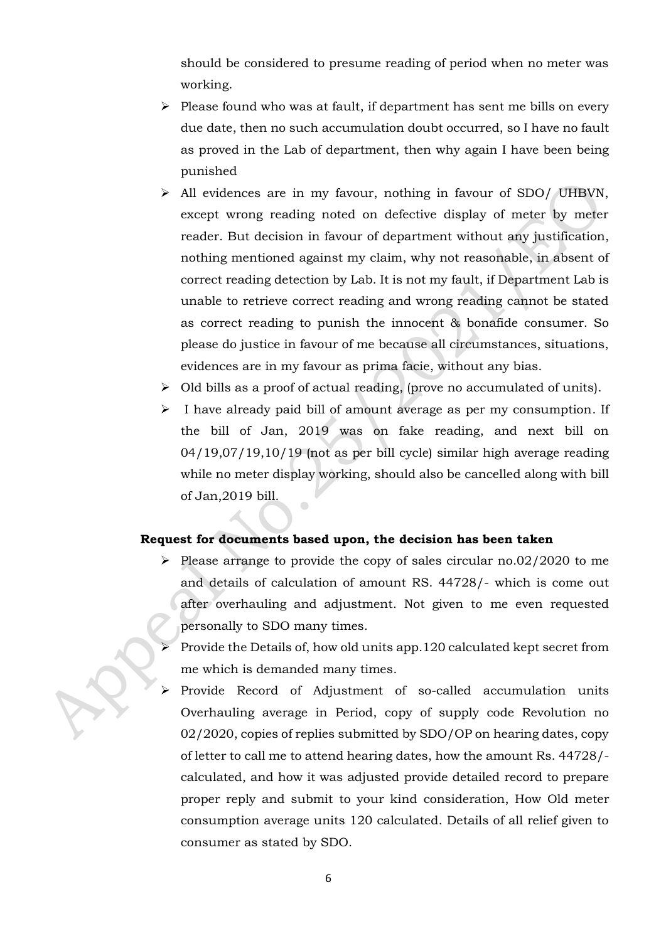should be considered to presume reading of period when no meter was working.

- ➢ Please found who was at fault, if department has sent me bills on every due date, then no such accumulation doubt occurred, so I have no fault as proved in the Lab of department, then why again I have been being punished
- ➢ All evidences are in my favour, nothing in favour of SDO/ UHBVN, except wrong reading noted on defective display of meter by meter reader. But decision in favour of department without any justification, nothing mentioned against my claim, why not reasonable, in absent of correct reading detection by Lab. It is not my fault, if Department Lab is unable to retrieve correct reading and wrong reading cannot be stated as correct reading to punish the innocent & bonafide consumer. So please do justice in favour of me because all circumstances, situations, evidences are in my favour as prima facie, without any bias.
- ➢ Old bills as a proof of actual reading, (prove no accumulated of units).
- ➢ I have already paid bill of amount average as per my consumption. If the bill of Jan, 2019 was on fake reading, and next bill on 04/19,07/19,10/19 (not as per bill cycle) similar high average reading while no meter display working, should also be cancelled along with bill of Jan,2019 bill.

#### **Request for documents based upon, the decision has been taken**

- ➢ Please arrange to provide the copy of sales circular no.02/2020 to me and details of calculation of amount RS. 44728/- which is come out after overhauling and adjustment. Not given to me even requested personally to SDO many times.
- ➢ Provide the Details of, how old units app.120 calculated kept secret from me which is demanded many times.
- Provide Record of Adjustment of so-called accumulation units Overhauling average in Period, copy of supply code Revolution no 02/2020, copies of replies submitted by SDO/OP on hearing dates, copy of letter to call me to attend hearing dates, how the amount Rs. 44728/ calculated, and how it was adjusted provide detailed record to prepare proper reply and submit to your kind consideration, How Old meter consumption average units 120 calculated. Details of all relief given to consumer as stated by SDO.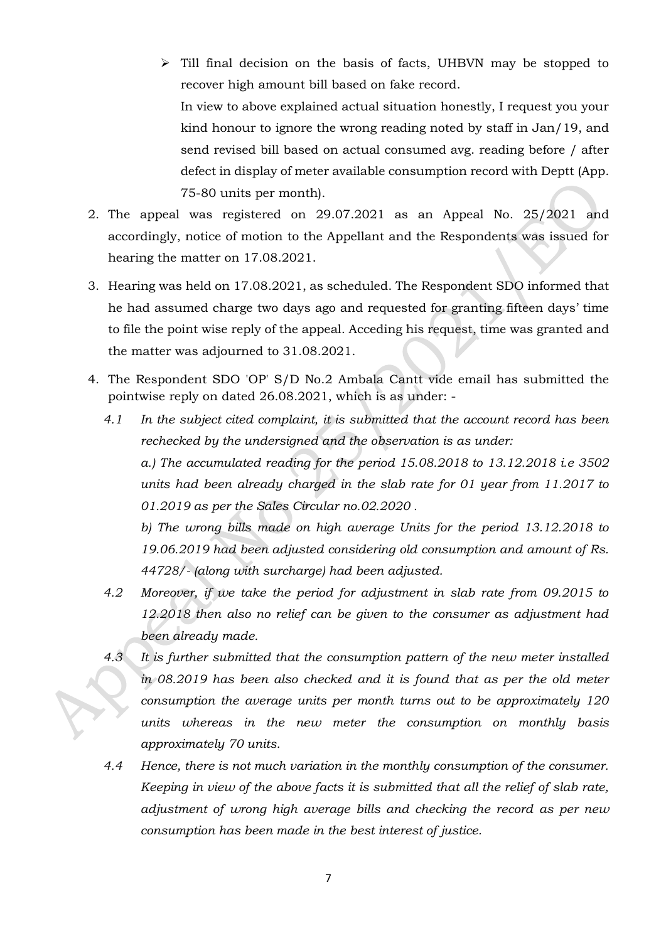➢ Till final decision on the basis of facts, UHBVN may be stopped to recover high amount bill based on fake record. In view to above explained actual situation honestly, I request you your kind honour to ignore the wrong reading noted by staff in Jan/19, and send revised bill based on actual consumed avg. reading before / after defect in display of meter available consumption record with Deptt (App.

75-80 units per month).

- 2. The appeal was registered on 29.07.2021 as an Appeal No. 25/2021 and accordingly, notice of motion to the Appellant and the Respondents was issued for hearing the matter on 17.08.2021.
- 3. Hearing was held on 17.08.2021, as scheduled. The Respondent SDO informed that he had assumed charge two days ago and requested for granting fifteen days' time to file the point wise reply of the appeal. Acceding his request, time was granted and the matter was adjourned to 31.08.2021.
- 4. The Respondent SDO 'OP' S/D No.2 Ambala Cantt vide email has submitted the pointwise reply on dated 26.08.2021, which is as under: -
	- *4.1 In the subject cited complaint, it is submitted that the account record has been rechecked by the undersigned and the observation is as under: a.) The accumulated reading for the period 15.08.2018 to 13.12.2018 i.e 3502 units had been already charged in the slab rate for 01 year from 11.2017 to 01.2019 as per the Sales Circular no.02.2020 .*  b) The wrong bills made on high average Units for the period 13.12.2018 to *19.06.2019 had been adjusted considering old consumption and amount of Rs.*

*44728/- (along with surcharge) had been adjusted.* 

- *4.2 Moreover, if we take the period for adjustment in slab rate from 09.2015 to 12.2018 then also no relief can be given to the consumer as adjustment had been already made.*
- *4.3 It is further submitted that the consumption pattern of the new meter installed in 08.2019 has been also checked and it is found that as per the old meter consumption the average units per month turns out to be approximately 120 units whereas in the new meter the consumption on monthly basis approximately 70 units.*
- *4.4 Hence, there is not much variation in the monthly consumption of the consumer. Keeping in view of the above facts it is submitted that all the relief of slab rate, adjustment of wrong high average bills and checking the record as per new consumption has been made in the best interest of justice.*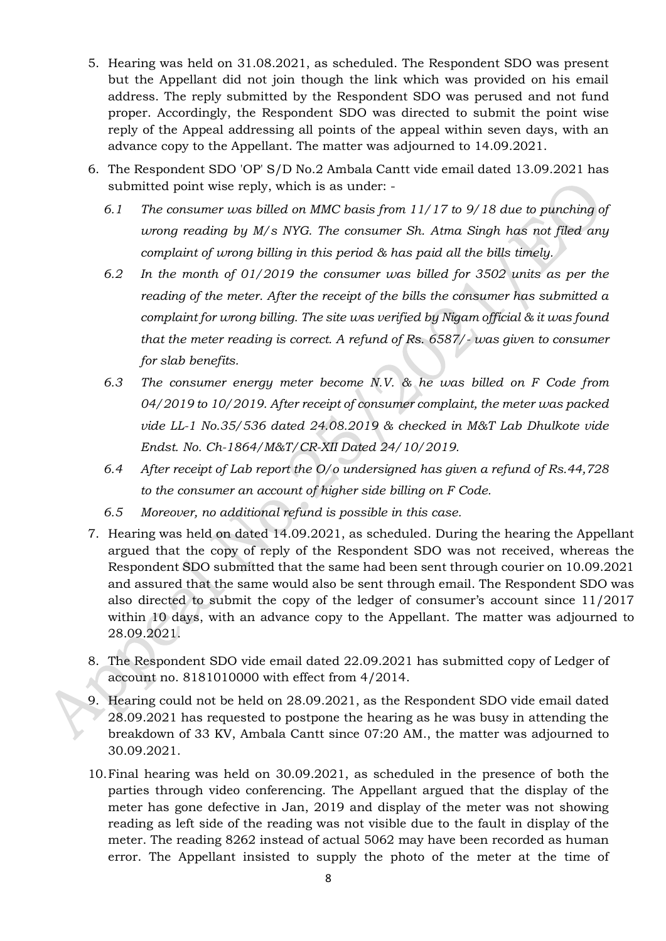- 5. Hearing was held on 31.08.2021, as scheduled. The Respondent SDO was present but the Appellant did not join though the link which was provided on his email address. The reply submitted by the Respondent SDO was perused and not fund proper. Accordingly, the Respondent SDO was directed to submit the point wise reply of the Appeal addressing all points of the appeal within seven days, with an advance copy to the Appellant. The matter was adjourned to 14.09.2021.
- 6. The Respondent SDO 'OP' S/D No.2 Ambala Cantt vide email dated 13.09.2021 has submitted point wise reply, which is as under: -
	- *6.1 The consumer was billed on MMC basis from 11/17 to 9/18 due to punching of wrong reading by M/s NYG. The consumer Sh. Atma Singh has not filed any complaint of wrong billing in this period & has paid all the bills timely.*
	- *6.2 In the month of 01/2019 the consumer was billed for 3502 units as per the reading of the meter. After the receipt of the bills the consumer has submitted a complaint for wrong billing. The site was verified by Nigam official & it was found that the meter reading is correct. A refund of Rs. 6587/- was given to consumer for slab benefits.*
	- *6.3 The consumer energy meter become N.V. & he was billed on F Code from 04/2019 to 10/2019. After receipt of consumer complaint, the meter was packed vide LL-1 No.35/536 dated 24.08.2019 & checked in M&T Lab Dhulkote vide Endst. No. Ch-1864/M&T/CR-XII Dated 24/10/2019.*
	- *6.4 After receipt of Lab report the O/o undersigned has given a refund of Rs.44,728 to the consumer an account of higher side billing on F Code.*
	- *6.5 Moreover, no additional refund is possible in this case.*
- 7. Hearing was held on dated 14.09.2021, as scheduled. During the hearing the Appellant argued that the copy of reply of the Respondent SDO was not received, whereas the Respondent SDO submitted that the same had been sent through courier on 10.09.2021 and assured that the same would also be sent through email. The Respondent SDO was also directed to submit the copy of the ledger of consumer's account since 11/2017 within 10 days, with an advance copy to the Appellant. The matter was adjourned to 28.09.2021.
- 8. The Respondent SDO vide email dated 22.09.2021 has submitted copy of Ledger of account no. 8181010000 with effect from 4/2014.
- 9. Hearing could not be held on 28.09.2021, as the Respondent SDO vide email dated 28.09.2021 has requested to postpone the hearing as he was busy in attending the breakdown of 33 KV, Ambala Cantt since 07:20 AM., the matter was adjourned to 30.09.2021.
- 10.Final hearing was held on 30.09.2021, as scheduled in the presence of both the parties through video conferencing. The Appellant argued that the display of the meter has gone defective in Jan, 2019 and display of the meter was not showing reading as left side of the reading was not visible due to the fault in display of the meter. The reading 8262 instead of actual 5062 may have been recorded as human error. The Appellant insisted to supply the photo of the meter at the time of